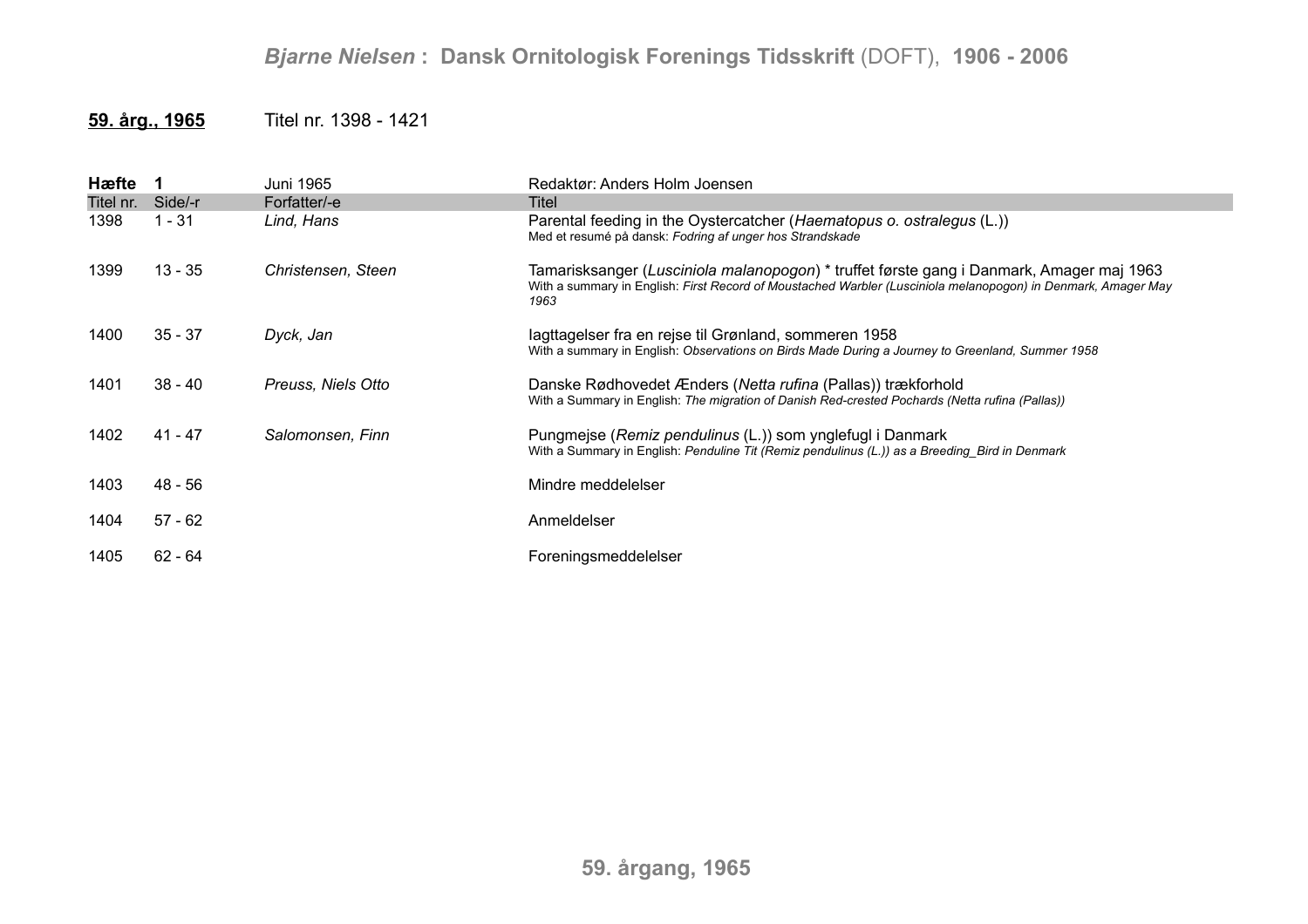## *Bjarne Nielsen* **: Dansk Ornitologisk Forenings Tidsskrift** (DOFT), **1906 - 2006**

## **59. årg., 1965** Titel nr. 1398 - 1421

| Hæfte 1   |           | Juni 1965          | Redaktør: Anders Holm Joensen                                                                                                                                                                                     |
|-----------|-----------|--------------------|-------------------------------------------------------------------------------------------------------------------------------------------------------------------------------------------------------------------|
| Titel nr. | Side/-r   | Forfatter/-e       | Titel                                                                                                                                                                                                             |
| 1398      | l - 31    | Lind, Hans         | Parental feeding in the Oystercatcher (Haematopus o. ostralegus (L.))<br>Med et resumé på dansk: Fodring af unger hos Strandskade                                                                                 |
| 1399      | $13 - 35$ | Christensen, Steen | Tamarisksanger (Lusciniola malanopogon) * truffet første gang i Danmark, Amager maj 1963<br>With a summary in English: First Record of Moustached Warbler (Lusciniola melanopogon) in Denmark, Amager May<br>1963 |
| 1400      | $35 - 37$ | Dyck, Jan          | lagttagelser fra en rejse til Grønland, sommeren 1958<br>With a summary in English: Observations on Birds Made During a Journey to Greenland, Summer 1958                                                         |
| 1401      | $38 - 40$ | Preuss, Niels Otto | Danske Rødhovedet Ænders (Netta rufina (Pallas)) trækforhold<br>With a Summary in English: The migration of Danish Red-crested Pochards (Netta rufina (Pallas))                                                   |
| 1402      | $41 - 47$ | Salomonsen, Finn   | Pungmejse (Remiz pendulinus (L.)) som ynglefugl i Danmark<br>With a Summary in English: Penduline Tit (Remiz pendulinus (L.)) as a Breeding Bird in Denmark                                                       |
| 1403      | $48 - 56$ |                    | Mindre meddelelser                                                                                                                                                                                                |
| 1404      | $57 - 62$ |                    | Anmeldelser                                                                                                                                                                                                       |
| 1405      | $62 - 64$ |                    | Foreningsmeddelelser                                                                                                                                                                                              |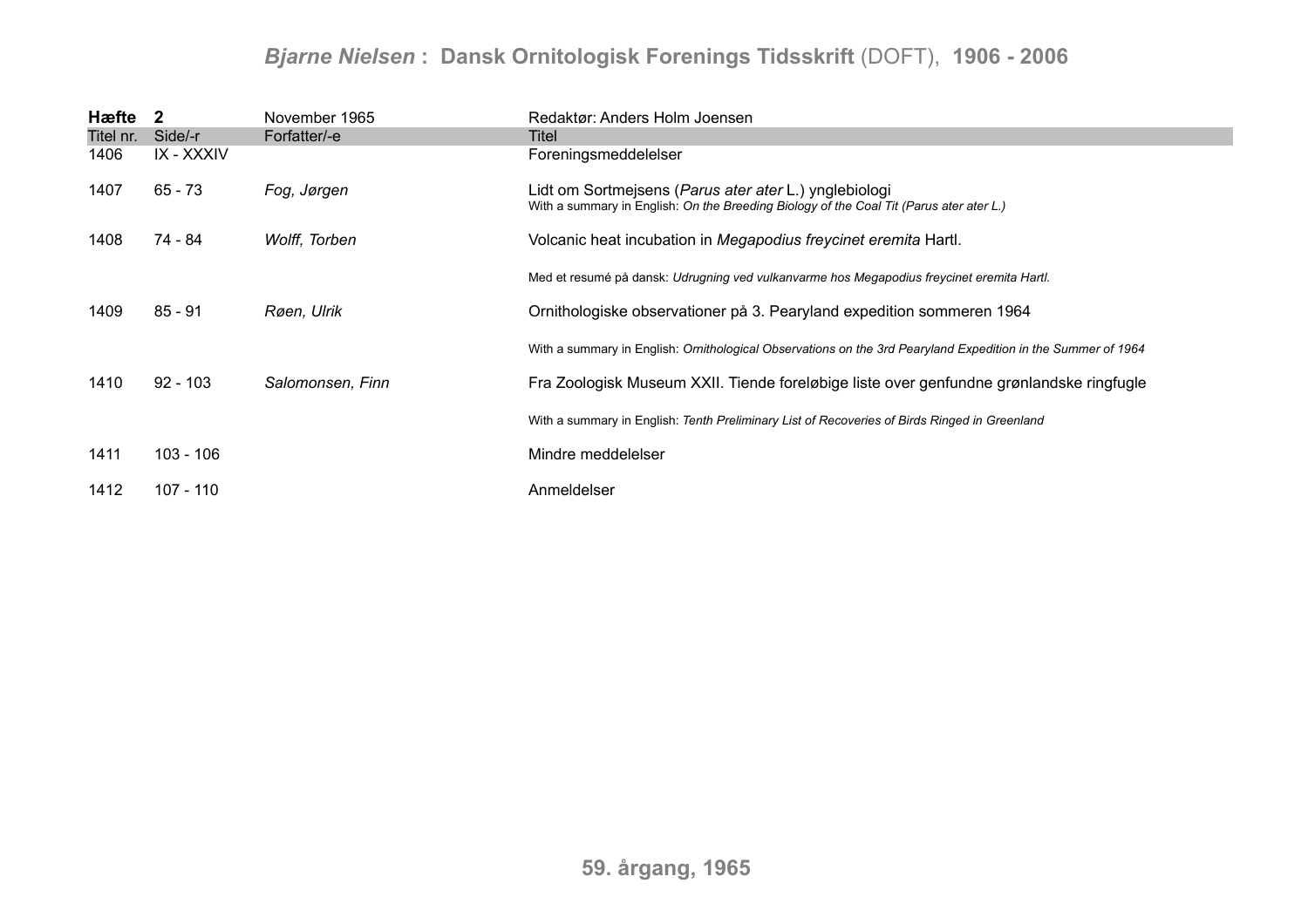## *Bjarne Nielsen* **: Dansk Ornitologisk Forenings Tidsskrift** (DOFT), **1906 - 2006**

| Hæfte 2   |             | November 1965    | Redaktør: Anders Holm Joensen                                                                                                                    |
|-----------|-------------|------------------|--------------------------------------------------------------------------------------------------------------------------------------------------|
| Titel nr. | Side/-r     | Forfatter/-e     | Titel                                                                                                                                            |
| 1406      | IX - XXXIV  |                  | Foreningsmeddelelser                                                                                                                             |
| 1407      | $65 - 73$   | Fog, Jørgen      | Lidt om Sortmejsens (Parus ater ater L.) ynglebiologi<br>With a summary in English: On the Breeding Biology of the Coal Tit (Parus ater ater L.) |
| 1408      | 74 - 84     | Wolff, Torben    | Volcanic heat incubation in Megapodius freycinet eremita Hartl.                                                                                  |
|           |             |                  | Med et resumé på dansk: Udrugning ved vulkanvarme hos Megapodius freycinet eremita Hartl.                                                        |
| 1409      | $85 - 91$   | Røen, Ulrik      | Ornithologiske observationer på 3. Pearyland expedition sommeren 1964                                                                            |
|           |             |                  | With a summary in English: Ornithological Observations on the 3rd Pearyland Expedition in the Summer of 1964                                     |
| 1410      | $92 - 103$  | Salomonsen, Finn | Fra Zoologisk Museum XXII. Tiende foreløbige liste over genfundne grønlandske ringfugle                                                          |
|           |             |                  | With a summary in English: Tenth Preliminary List of Recoveries of Birds Ringed in Greenland                                                     |
| 1411      | $103 - 106$ |                  | Mindre meddelelser                                                                                                                               |
| 1412      | $107 - 110$ |                  | Anmeldelser                                                                                                                                      |